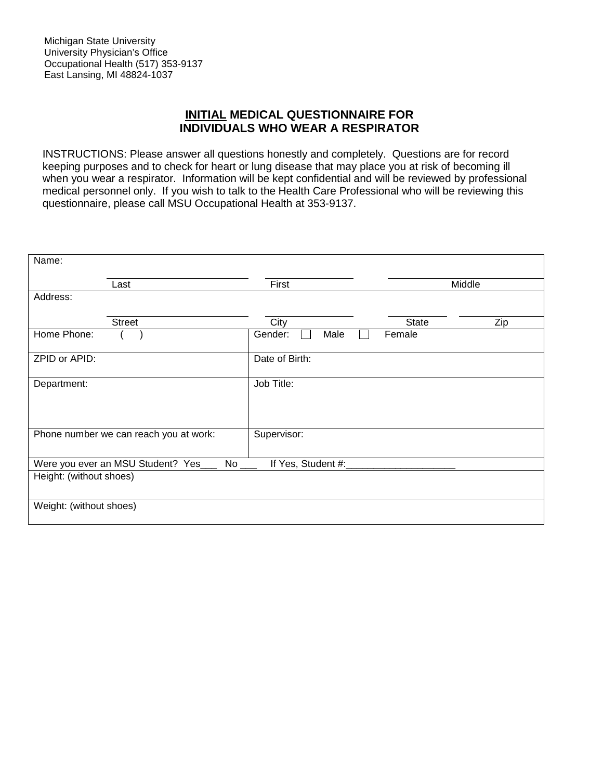## **INITIAL MEDICAL QUESTIONNAIRE FOR INDIVIDUALS WHO WEAR A RESPIRATOR**

INSTRUCTIONS: Please answer all questions honestly and completely. Questions are for record keeping purposes and to check for heart or lung disease that may place you at risk of becoming ill when you wear a respirator. Information will be kept confidential and will be reviewed by professional medical personnel only. If you wish to talk to the Health Care Professional who will be reviewing this questionnaire, please call MSU Occupational Health at 353-9137.

| Name:                   |                                          |                     |              |        |
|-------------------------|------------------------------------------|---------------------|--------------|--------|
|                         | Last                                     | First               |              | Middle |
| Address:                |                                          |                     |              |        |
|                         | <b>Street</b>                            | City                | <b>State</b> | Zip    |
| Home Phone:             |                                          | Gender:<br>Male     | Female       |        |
| ZPID or APID:           |                                          | Date of Birth:      |              |        |
| Department:             |                                          | Job Title:          |              |        |
|                         |                                          |                     |              |        |
|                         | Phone number we can reach you at work:   | Supervisor:         |              |        |
|                         | Were you ever an MSU Student? Yes_<br>No | If Yes, Student #:_ |              |        |
| Height: (without shoes) |                                          |                     |              |        |
| Weight: (without shoes) |                                          |                     |              |        |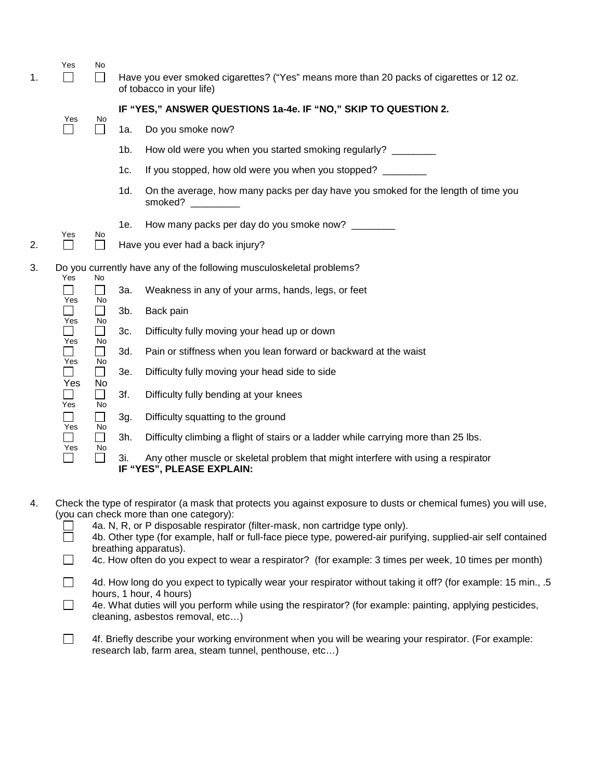| 1. | Yes                             | No                                                                                     |                | Have you ever smoked cigarettes? ("Yes" means more than 20 packs of cigarettes or 12 oz.<br>of tobacco in your life) |
|----|---------------------------------|----------------------------------------------------------------------------------------|----------------|----------------------------------------------------------------------------------------------------------------------|
|    |                                 |                                                                                        |                | IF "YES," ANSWER QUESTIONS 1a-4e. IF "NO," SKIP TO QUESTION 2.                                                       |
|    | Yes<br>$\overline{\phantom{0}}$ | No                                                                                     | 1a.            | Do you smoke now?                                                                                                    |
|    |                                 |                                                                                        | 1 <sub>b</sub> | How old were you when you started smoking regularly? ________                                                        |
|    |                                 |                                                                                        | 1c.            | If you stopped, how old were you when you stopped?                                                                   |
|    |                                 |                                                                                        | 1d.            | On the average, how many packs per day have you smoked for the length of time you<br>smoked?                         |
|    |                                 |                                                                                        | 1e.            | How many packs per day do you smoke now? _______                                                                     |
| 2. | Yes<br>$\Box$                   | No<br>$\mathbf{L}$                                                                     |                | Have you ever had a back injury?                                                                                     |
| 3. | Yes                             | No<br>$\mathcal{L}_{\mathcal{A}}$<br>No<br>$\Box$<br>No<br>$\mathcal{L}_{\mathcal{A}}$ |                | Do you currently have any of the following musculoskeletal problems?                                                 |
|    | ┓                               |                                                                                        | За.            | Weakness in any of your arms, hands, legs, or feet                                                                   |
|    | Yes                             |                                                                                        | $3b$ .         | Back pain                                                                                                            |
|    | Yes<br>Yes                      |                                                                                        | 3c.            | Difficulty fully moving your head up or down                                                                         |
|    |                                 | No<br>$\mathcal{L}$                                                                    | 3d.            | Pain or stiffness when you lean forward or backward at the waist                                                     |
|    | Yes                             | No<br>$\Box$                                                                           | 3e.            | Difficulty fully moving your head side to side                                                                       |
|    | Yes<br>Yes                      | No<br>П<br>No                                                                          | 3f.            | Difficulty fully bending at your knees                                                                               |
|    | $\Box$<br>Yes                   | $\mathcal{L}_{\mathcal{A}}$<br>No                                                      | 3g.            | Difficulty squatting to the ground                                                                                   |
|    | Yes                             | $\mathsf{L}$                                                                           | 3h.            | Difficulty climbing a flight of stairs or a ladder while carrying more than 25 lbs.                                  |
|    | $\overline{\phantom{a}}$        | No<br>П                                                                                | 3i.            | Any other muscle or skeletal problem that might interfere with using a respirator<br>IF "YES", PLEASE EXPLAIN:       |

4. Check the type of respirator (a mask that protects you against exposure to dusts or chemical fumes) you will use, (you can check more than one category):

| 4a. N, R, or P disposable respirator (filter-mask, non cartridge type only).                                  |
|---------------------------------------------------------------------------------------------------------------|
| 4b. Other type (for example, half or full-face piece type, powered-air purifying, supplied-air self contained |
| breathing apparatus).                                                                                         |

- $\Box$ 4c. How often do you expect to wear a respirator? (for example: 3 times per week, 10 times per month)
- $\Box$ 4d. How long do you expect to typically wear your respirator without taking it off? (for example: 15 min., .5 hours, 1 hour, 4 hours)
- $\overline{\phantom{a}}$ 4e. What duties will you perform while using the respirator? (for example: painting, applying pesticides, cleaning, asbestos removal, etc…)

 $\Box$ 4f. Briefly describe your working environment when you will be wearing your respirator. (For example: research lab, farm area, steam tunnel, penthouse, etc…)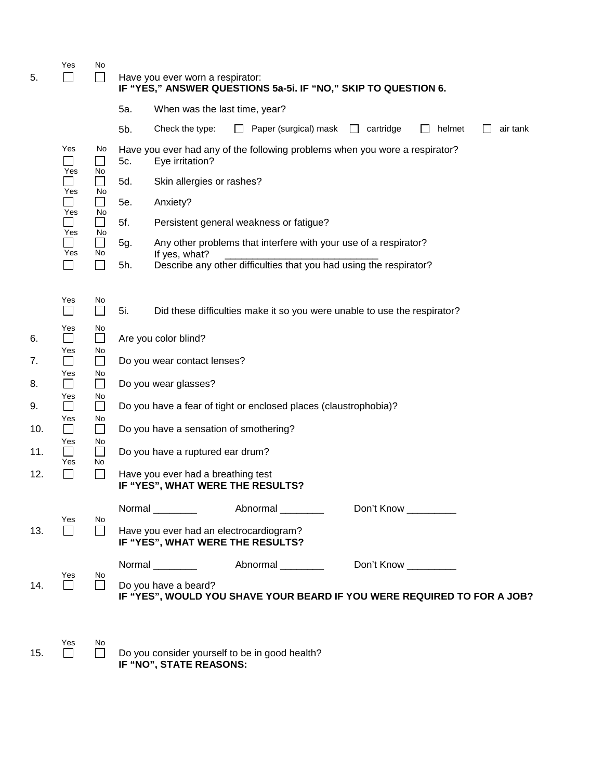| 5.  | Yes                                | No<br>$\mathsf{L}$ |     | Have you ever worn a respirator:<br>IF "YES," ANSWER QUESTIONS 5a-5i. IF "NO," SKIP TO QUESTION 6. |                   |                       |                       |                   |          |
|-----|------------------------------------|--------------------|-----|----------------------------------------------------------------------------------------------------|-------------------|-----------------------|-----------------------|-------------------|----------|
|     |                                    |                    | 5a. | When was the last time, year?                                                                      |                   |                       |                       |                   |          |
|     |                                    |                    | 5b. | Check the type:                                                                                    | $\perp$           | Paper (surgical) mask | $\Box$ cartridge      | helmet<br>$\perp$ | air tank |
|     | Yes<br>Yes                         | No<br>No           | 5c. | Have you ever had any of the following problems when you wore a respirator?<br>Eye irritation?     |                   |                       |                       |                   |          |
|     | Yes                                |                    | 5d. | Skin allergies or rashes?                                                                          |                   |                       |                       |                   |          |
|     |                                    | No                 | 5e. | Anxiety?                                                                                           |                   |                       |                       |                   |          |
|     | Yes                                | No<br>$\Box$       | 5f. | Persistent general weakness or fatigue?                                                            |                   |                       |                       |                   |          |
|     | Yes<br>Yes                         | No<br>⊔<br>No      | 5g. | Any other problems that interfere with your use of a respirator?                                   |                   |                       |                       |                   |          |
|     |                                    | П                  | 5h. | If yes, what?<br>Describe any other difficulties that you had using the respirator?                |                   |                       |                       |                   |          |
|     |                                    |                    |     |                                                                                                    |                   |                       |                       |                   |          |
|     | Yes<br>$\mathcal{L}$               | No<br>$\Box$       | 5i. | Did these difficulties make it so you were unable to use the respirator?                           |                   |                       |                       |                   |          |
| 6.  | Yes<br>$\mathcal{L}$<br>Yes        | No<br>$\Box$<br>No |     | Are you color blind?                                                                               |                   |                       |                       |                   |          |
| 7.  | $\mathsf{L}$                       | $\Box$             |     | Do you wear contact lenses?                                                                        |                   |                       |                       |                   |          |
| 8.  | Yes<br>$\mathcal{L}_{\mathcal{A}}$ | No<br>$\Box$       |     | Do you wear glasses?                                                                               |                   |                       |                       |                   |          |
| 9.  | Yes<br>$\mathcal{L}_{\mathcal{A}}$ | No<br>П            |     | Do you have a fear of tight or enclosed places (claustrophobia)?                                   |                   |                       |                       |                   |          |
| 10. | Yes<br>$\mathbf{L}$                | No<br>$\Box$       |     | Do you have a sensation of smothering?                                                             |                   |                       |                       |                   |          |
| 11. | Yes                                | No.<br>$\Box$      |     | Do you have a ruptured ear drum?                                                                   |                   |                       |                       |                   |          |
| 12. | Yes<br>$\Box$                      | No<br>П            |     | Have you ever had a breathing test<br>IF "YES", WHAT WERE THE RESULTS?                             |                   |                       |                       |                   |          |
|     | Yes                                | No                 |     | Normal ________                                                                                    | Abnormal          |                       | Don't Know            |                   |          |
| 13. |                                    | $\perp$            |     | Have you ever had an electrocardiogram?<br>IF "YES", WHAT WERE THE RESULTS?                        |                   |                       |                       |                   |          |
|     |                                    |                    |     | Normal __________                                                                                  | Abnormal ________ |                       | Don't Know __________ |                   |          |
| 14. | Yes<br>П                           | No.<br>$\Box$      |     | Do you have a beard?<br>IF "YES", WOULD YOU SHAVE YOUR BEARD IF YOU WERE REQUIRED TO FOR A JOB?    |                   |                       |                       |                   |          |
|     |                                    |                    |     |                                                                                                    |                   |                       |                       |                   |          |
|     | Yes                                | No                 |     |                                                                                                    |                   |                       |                       |                   |          |

 $\overline{D}$   $\overline{D}$ 15.  $\Box$   $\Box$  Do you consider yourself to be in good health? **IF "NO", STATE REASONS:**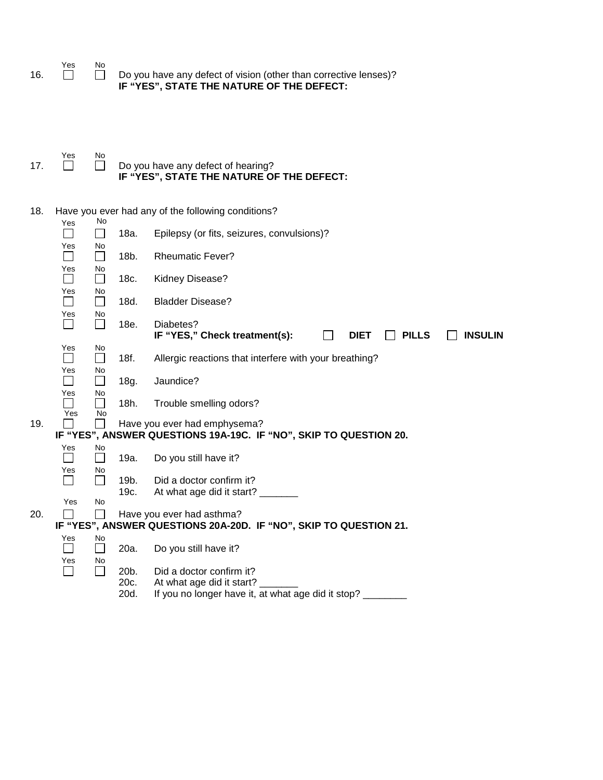|       | Yes |                                                                  |
|-------|-----|------------------------------------------------------------------|
| - 16. |     | Do you have any defect of vision (other than corrective lenses)? |
|       |     | IF "YES", STATE THE NATURE OF THE DEFECT:                        |

|     | Yes | N۵ |                                           |
|-----|-----|----|-------------------------------------------|
| 17. |     |    | $\Box$ Do you have any defect of hearing? |
|     |     |    | IF "YES", STATE THE NATURE OF THE DEFECT: |

| 18. |                                 | No                 |                      | Have you ever had any of the following conditions?                                                          |
|-----|---------------------------------|--------------------|----------------------|-------------------------------------------------------------------------------------------------------------|
|     | Yes                             | $\Box$             | 18a.                 | Epilepsy (or fits, seizures, convulsions)?                                                                  |
|     | Yes<br>$\overline{\phantom{0}}$ | No<br>$\Box$       | 18b.                 | <b>Rheumatic Fever?</b>                                                                                     |
|     | Yes<br>┓                        | No<br>П            | 18c.                 | Kidney Disease?                                                                                             |
|     | Yes<br>$\blacksquare$           | No<br>$\Box$       | 18d.                 | <b>Bladder Disease?</b>                                                                                     |
|     | Yes                             | No<br>$\Box$       | 18e.                 | Diabetes?                                                                                                   |
|     |                                 |                    |                      | IF "YES," Check treatment(s):<br><b>PILLS</b><br><b>INSULIN</b><br><b>DIET</b>                              |
|     | Yes<br>$\blacksquare$           | No<br>$\mathbf{L}$ | 18f.                 | Allergic reactions that interfere with your breathing?                                                      |
|     | Yes<br>$\blacksquare$           | No<br>П            | 18g.                 | Jaundice?                                                                                                   |
|     | Yes<br>Yes                      | No<br>$\Box$<br>No | 18h.                 | Trouble smelling odors?                                                                                     |
| 19. |                                 |                    |                      | Have you ever had emphysema?<br>IF "YES", ANSWER QUESTIONS 19A-19C. IF "NO", SKIP TO QUESTION 20.           |
|     | Yes                             | No                 |                      |                                                                                                             |
|     |                                 | П                  | 19a.                 | Do you still have it?                                                                                       |
|     | Yes                             | No<br>П            | 19b.<br>19c.         | Did a doctor confirm it?<br>At what age did it start?                                                       |
|     | Yes                             | No                 |                      |                                                                                                             |
| 20. |                                 |                    |                      | Have you ever had asthma?<br>IF "YES", ANSWER QUESTIONS 20A-20D. IF "NO", SKIP TO QUESTION 21.              |
|     | Yes                             | No<br>$\Box$       | 20a.                 | Do you still have it?                                                                                       |
|     | Yes<br>$\overline{\phantom{0}}$ | No<br>$\mathsf{L}$ | 20b.<br>20c.<br>20d. | Did a doctor confirm it?<br>At what age did it start?<br>If you no longer have it, at what age did it stop? |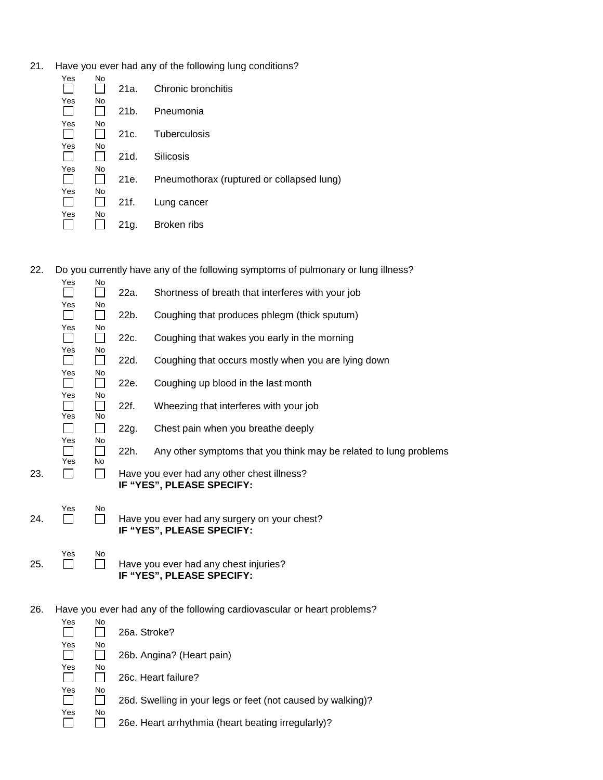21. Have you ever had any of the following lung conditions?

| Yes | No | 21a. | Chronic bronchitis                        |
|-----|----|------|-------------------------------------------|
| Yes | No | 21b. | Pneumonia                                 |
| Yes | No | 21c. | Tuberculosis                              |
| Yes | No | 21d. | Silicosis                                 |
| Yes | No | 21e. | Pneumothorax (ruptured or collapsed lung) |
| Yes | No | 21f. | Lung cancer                               |
| Yes | No | 21g. | Broken ribs                               |

22. Do you currently have any of the following symptoms of pulmonary or lung illness?

|     | Yes                  | No                        | 22a. | Shortness of breath that interferes with your job                         |
|-----|----------------------|---------------------------|------|---------------------------------------------------------------------------|
|     | Yes<br>$\mathsf{L}$  | No<br>$\mathsf{L}$        | 22b. | Coughing that produces phlegm (thick sputum)                              |
|     | Yes                  | No                        | 22c. | Coughing that wakes you early in the morning                              |
|     | Yes                  | No<br>$\mathbf{I}$        | 22d. | Coughing that occurs mostly when you are lying down                       |
|     | Yes<br>$\mathcal{L}$ | No<br>$\mathbf{L}$        | 22e. | Coughing up blood in the last month                                       |
|     | Yes                  | <b>No</b>                 | 22f. | Wheezing that interferes with your job                                    |
|     | Yes<br>$\mathsf{L}$  | <b>No</b><br>$\mathbf{L}$ | 22g. | Chest pain when you breathe deeply                                        |
|     | Yes                  | No                        | 22h. | Any other symptoms that you think may be related to lung problems         |
| 23. | Yes                  | <b>No</b>                 |      | Have you ever had any other chest illness?                                |
|     |                      |                           |      | IF "YES", PLEASE SPECIFY:                                                 |
| 24. | Yes                  | No                        |      | Have you ever had any surgery on your chest?<br>IF "YES", PLEASE SPECIFY: |
| 25. | Yes                  | No                        |      | Have you ever had any chest injuries?<br>IF "YES", PLEASE SPECIFY:        |
|     |                      |                           |      |                                                                           |

26. Have you ever had any of the following cardiovascular or heart problems?

| Yes | N <sub>o</sub> |                                                             |
|-----|----------------|-------------------------------------------------------------|
|     |                | 26a. Stroke?                                                |
| Yes | No             |                                                             |
|     |                | 26b. Angina? (Heart pain)                                   |
| Yes | No             |                                                             |
|     |                | 26c. Heart failure?                                         |
| Yes | No             |                                                             |
|     |                | 26d. Swelling in your legs or feet (not caused by walking)? |
| Yes | No             |                                                             |
|     |                | 26e. Heart arrhythmia (heart beating irregularly)?          |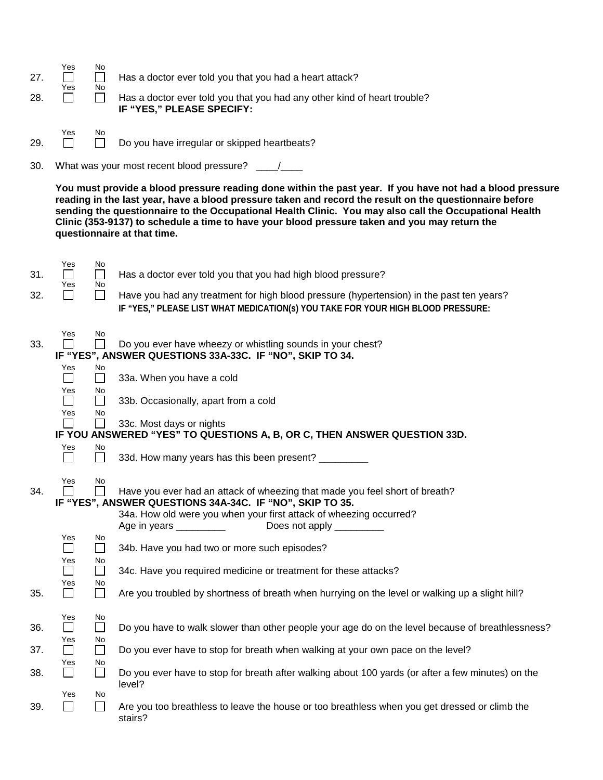| -27.<br>-28. | Yes<br>Yes | No<br>No | Has a doctor ever told you that you had a heart attack?<br>Has a doctor ever told you that you had any other kind of heart trouble?<br>IF "YES," PLEASE SPECIFY: |
|--------------|------------|----------|------------------------------------------------------------------------------------------------------------------------------------------------------------------|
| 29.          | Yes        | No       | Do you have irregular or skipped heartbeats?                                                                                                                     |

30. What was your most recent blood pressure? \_\_\_\_/\_\_\_

**You must provide a blood pressure reading done within the past year. If you have not had a blood pressure reading in the last year, have a blood pressure taken and record the result on the questionnaire before sending the questionnaire to the Occupational Health Clinic. You may also call the Occupational Health Clinic (353-9137) to schedule a time to have your blood pressure taken and you may return the questionnaire at that time.**

|     | Yes                                | No                             |                                                                                                                                                                                                                                                                      |
|-----|------------------------------------|--------------------------------|----------------------------------------------------------------------------------------------------------------------------------------------------------------------------------------------------------------------------------------------------------------------|
| 31. | $\overline{\phantom{a}}$           | $\mathbf{L}$                   | Has a doctor ever told you that you had high blood pressure?                                                                                                                                                                                                         |
| 32. | Yes<br>$\overline{\phantom{0}}$    | No<br>$\Box$                   | Have you had any treatment for high blood pressure (hypertension) in the past ten years?<br>IF "YES," PLEASE LIST WHAT MEDICATION(s) YOU TAKE FOR YOUR HIGH BLOOD PRESSURE:                                                                                          |
| 33. | Yes                                | No                             | Do you ever have wheezy or whistling sounds in your chest?<br>IF "YES", ANSWER QUESTIONS 33A-33C. IF "NO", SKIP TO 34.                                                                                                                                               |
|     | Yes<br>$\mathcal{L}_{\mathcal{A}}$ | No<br>$\Box$                   | 33a. When you have a cold                                                                                                                                                                                                                                            |
|     | Yes<br>$\blacksquare$              | No<br>$\Box$                   | 33b. Occasionally, apart from a cold                                                                                                                                                                                                                                 |
|     | Yes                                | No                             | 33c. Most days or nights<br>IF YOU ANSWERED "YES" TO QUESTIONS A, B, OR C, THEN ANSWER QUESTION 33D.                                                                                                                                                                 |
|     | Yes                                | No                             |                                                                                                                                                                                                                                                                      |
|     | $\Box$                             | П                              | 33d. How many years has this been present? _________                                                                                                                                                                                                                 |
| 34. | Yes                                | No                             | Have you ever had an attack of wheezing that made you feel short of breath?<br>IF "YES", ANSWER QUESTIONS 34A-34C. IF "NO", SKIP TO 35.<br>34a. How old were you when your first attack of wheezing occurred?<br>Does not apply _________<br>Age in years __________ |
|     | Yes<br>$\Box$                      | No<br>$\Box$                   | 34b. Have you had two or more such episodes?                                                                                                                                                                                                                         |
|     | Yes<br>$\Box$                      | No<br>$\Box$                   | 34c. Have you required medicine or treatment for these attacks?                                                                                                                                                                                                      |
| 35. | Yes<br>$\Box$                      | No<br>$\overline{\phantom{a}}$ | Are you troubled by shortness of breath when hurrying on the level or walking up a slight hill?                                                                                                                                                                      |
| 36. | Yes<br>$\Box$<br>Yes               | No<br>$\Box$<br>No             | Do you have to walk slower than other people your age do on the level because of breathlessness?                                                                                                                                                                     |
| 37. | $\Box$                             | $\Box$                         | Do you ever have to stop for breath when walking at your own pace on the level?                                                                                                                                                                                      |
| 38. | Yes<br>$\Box$                      | No<br>$\Box$                   | Do you ever have to stop for breath after walking about 100 yards (or after a few minutes) on the<br>level?                                                                                                                                                          |
| 39. | Yes<br>$\sim$                      | No                             | Are you too breathless to leave the house or too breathless when you get dressed or climb the<br>stairs?                                                                                                                                                             |